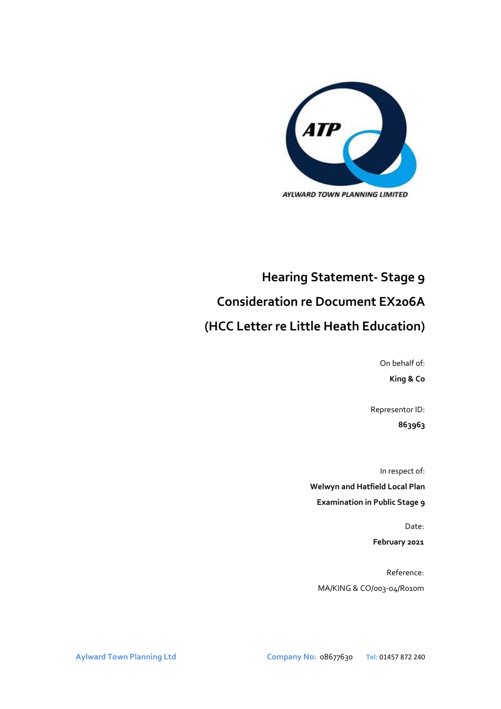

# **Hearing Statement- Stage 9 Consideration re Document EX206A (HCC Letter re Little Heath Education)**

On behalf of: **King & Co**

Representor ID: **863963**

In respect of: **Welwyn and Hatfield Local Plan Examination in Public Stage 9**

> Date: **February 2021**

Reference: MA/KING & CO/003-04/R010m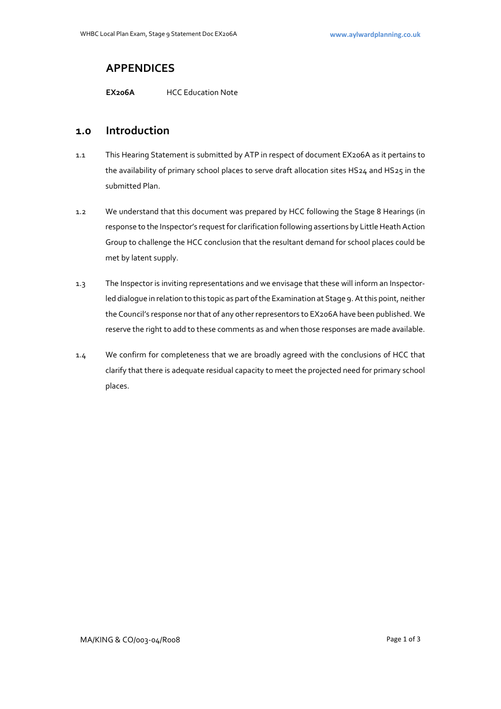## **APPENDICES**

**EX206A** HCC Education Note

### **1.0 Introduction**

- 1.1 This Hearing Statement is submitted by ATP in respect of document EX206A as it pertains to the availability of primary school places to serve draft allocation sites HS24 and HS25 in the submitted Plan.
- 1.2 We understand that this document was prepared by HCC following the Stage 8 Hearings (in response to the Inspector's request for clarification following assertions by Little Heath Action Group to challenge the HCC conclusion that the resultant demand for school places could be met by latent supply.
- 1.3 The Inspector is inviting representations and we envisage that these will inform an Inspectorled dialogue in relation to this topic as part of the Examination at Stage 9. At this point, neither the Council's response nor that of any other representors to EX206A have been published. We reserve the right to add to these comments as and when those responses are made available.
- 1.4 We confirm for completeness that we are broadly agreed with the conclusions of HCC that clarify that there is adequate residual capacity to meet the projected need for primary school places.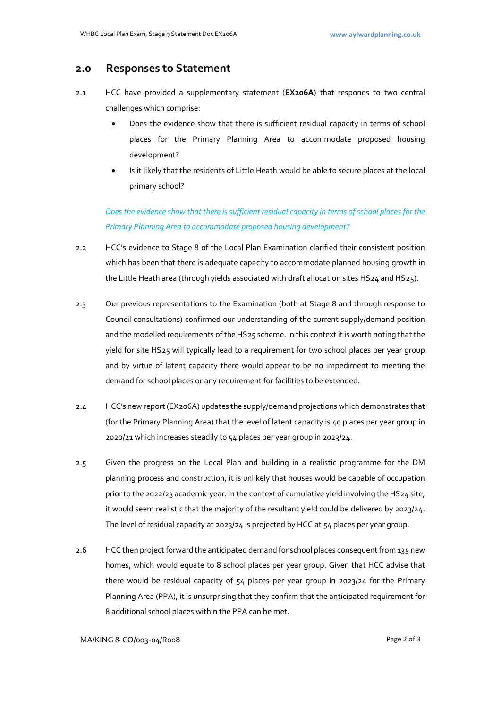#### **2.0 Responses to Statement**

- 2.1 HCC have provided a supplementary statement (**EX206A**) that responds to two central challenges which comprise:
	- Does the evidence show that there is sufficient residual capacity in terms of school places for the Primary Planning Area to accommodate proposed housing development?
	- Is it likely that the residents of Little Heath would be able to secure places at the local primary school?

*Does the evidence show that there is sufficient residual capacity in terms of school places for the Primary Planning Area to accommodate proposed housing development?*

- 2.2 HCC's evidence to Stage 8 of the Local Plan Examination clarified their consistent position which has been that there is adequate capacity to accommodate planned housing growth in the Little Heath area (through yields associated with draft allocation sites HS24 and HS25).
- 2.3 Our previous representations to the Examination (both at Stage 8 and through response to Council consultations) confirmed our understanding of the current supply/demand position and the modelled requirements of the HS25 scheme. In this context it is worth noting that the yield for site HS25 will typically lead to a requirement for two school places per year group and by virtue of latent capacity there would appear to be no impediment to meeting the demand for school places or any requirement for facilities to be extended.
- 2.4 HCC's new report (EX206A) updates the supply/demand projections which demonstrates that (for the Primary Planning Area) that the level of latent capacity is 40 places per year group in 2020/21 which increases steadily to 54 places per year group in 2023/24.
- 2.5 Given the progress on the Local Plan and building in a realistic programme for the DM planning process and construction, it is unlikely that houses would be capable of occupation prior to the 2022/23 academic year. In the context of cumulative yield involving the HS24 site, it would seem realistic that the majority of the resultant yield could be delivered by 2023/24. The level of residual capacity at 2023/24 is projected by HCC at 54 places per year group.
- 2.6 HCC then project forward the anticipated demand for school places consequent from 135 new homes, which would equate to 8 school places per year group. Given that HCC advise that there would be residual capacity of  $54$  places per year group in 2023/24 for the Primary Planning Area (PPA), it is unsurprising that they confirm that the anticipated requirement for 8 additional school places within the PPA can be met.